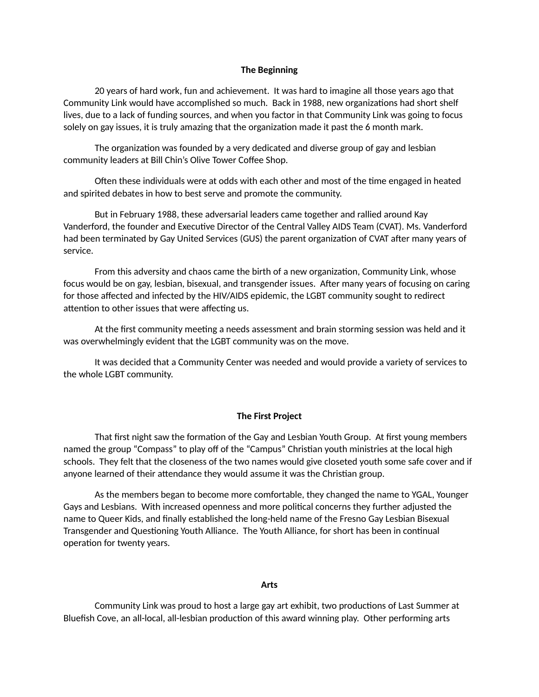## **The Beginning**

20 years of hard work, fun and achievement. It was hard to imagine all those years ago that Community Link would have accomplished so much. Back in 1988, new organizations had short shelf lives, due to a lack of funding sources, and when you factor in that Community Link was going to focus solely on gay issues, it is truly amazing that the organization made it past the 6 month mark.

The organization was founded by a very dedicated and diverse group of gay and lesbian community leaders at Bill Chin's Olive Tower Coffee Shop.

Often these individuals were at odds with each other and most of the time engaged in heated and spirited debates in how to best serve and promote the community.

But in February 1988, these adversarial leaders came together and rallied around Kay Vanderford, the founder and Executive Director of the Central Valley AIDS Team (CVAT). Ms. Vanderford had been terminated by Gay United Services (GUS) the parent organization of CVAT after many years of service.

From this adversity and chaos came the birth of a new organization, Community Link, whose focus would be on gay, lesbian, bisexual, and transgender issues. After many years of focusing on caring for those affected and infected by the HIV/AIDS epidemic, the LGBT community sought to redirect attention to other issues that were affecting us.

At the first community meeting a needs assessment and brain storming session was held and it was overwhelmingly evident that the LGBT community was on the move.

It was decided that a Community Center was needed and would provide a variety of services to the whole LGBT community.

## **The First Project**

That first night saw the formation of the Gay and Lesbian Youth Group. At first young members named the group "Compass" to play off of the "Campus" Christian youth ministries at the local high schools. They felt that the closeness of the two names would give closeted youth some safe cover and if anyone learned of their attendance they would assume it was the Christian group.

As the members began to become more comfortable, they changed the name to YGAL, Younger Gays and Lesbians. With increased openness and more political concerns they further adjusted the name to Queer Kids, and finally established the long-held name of the Fresno Gay Lesbian Bisexual Transgender and Questioning Youth Alliance. The Youth Alliance, for short has been in continual operation for twenty years.

## **Arts**

Community Link was proud to host a large gay art exhibit, two productions of Last Summer at Bluefish Cove, an all-local, all-lesbian production of this award winning play. Other performing arts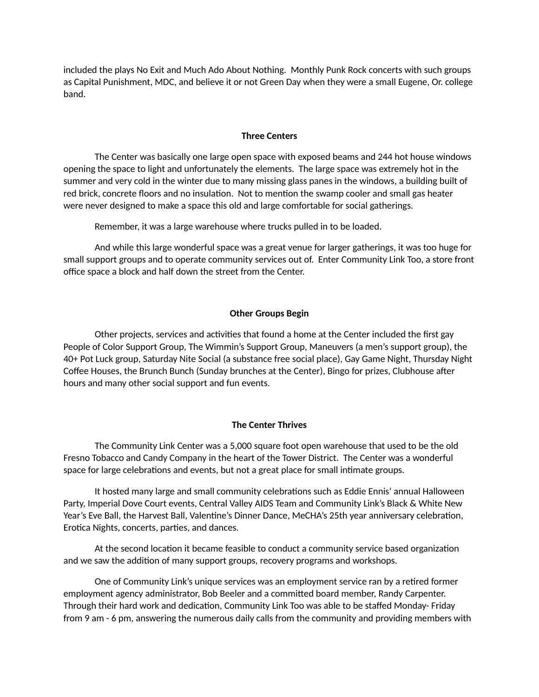included the plays No Exit and Much Ado About Nothing. Monthly Punk Rock concerts with such groups as Capital Punishment, MDC, and believe it or not Green Day when they were a small Eugene, Or. college band.

# **Three Centers**

The Center was basically one large open space with exposed beams and 244 hot house windows opening the space to light and unfortunately the elements. The large space was extremely hot in the summer and very cold in the winter due to many missing glass panes in the windows, a building built of red brick, concrete floors and no insulation. Not to mention the swamp cooler and small gas heater were never designed to make a space this old and large comfortable for social gatherings.

Remember, it was a large warehouse where trucks pulled in to be loaded.

And while this large wonderful space was a great venue for larger gatherings, it was too huge for small support groups and to operate community services out of. Enter Community Link Too, a store front office space a block and half down the street from the Center.

## **Other Groups Begin**

Other projects, services and activities that found a home at the Center included the first gay People of Color Support Group, The Wimmin's Support Group, Maneuvers (a men's support group), the 40+ Pot Luck group, Saturday Nite Social (a substance free social place), Gay Game Night, Thursday Night Coffee Houses, the Brunch Bunch (Sunday brunches at the Center), Bingo for prizes, Clubhouse after hours and many other social support and fun events.

#### **The Center Thrives**

The Community Link Center was a 5,000 square foot open warehouse that used to be the old Fresno Tobacco and Candy Company in the heart of the Tower District. The Center was a wonderful space for large celebrations and events, but not a great place for small intimate groups.

It hosted many large and small community celebrations such as Eddie Ennis' annual Halloween Party, Imperial Dove Court events, Central Valley AIDS Team and Community Link's Black & White New Year's Eve Ball, the Harvest Ball, Valentine's Dinner Dance, MeCHA's 25th year anniversary celebration, Erotica Nights, concerts, parties, and dances.

At the second location it became feasible to conduct a community service based organization and we saw the addition of many support groups, recovery programs and workshops.

One of Community Link's unique services was an employment service ran by a retired former employment agency administrator, Bob Beeler and a committed board member, Randy Carpenter. Through their hard work and dedication, Community Link Too was able to be staffed Monday- Friday from 9 am - 6 pm, answering the numerous daily calls from the community and providing members with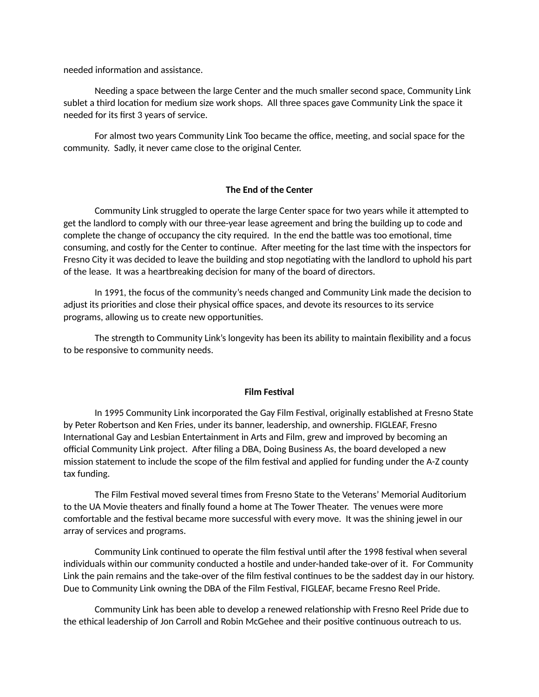needed information and assistance.

Needing a space between the large Center and the much smaller second space, Community Link sublet a third location for medium size work shops. All three spaces gave Community Link the space it needed for its first 3 years of service.

For almost two years Community Link Too became the office, meeting, and social space for the community. Sadly, it never came close to the original Center.

# **The End of the Center**

Community Link struggled to operate the large Center space for two years while it attempted to get the landlord to comply with our three-year lease agreement and bring the building up to code and complete the change of occupancy the city required. In the end the battle was too emotional, time consuming, and costly for the Center to continue. After meeting for the last time with the inspectors for Fresno City it was decided to leave the building and stop negotiating with the landlord to uphold his part of the lease. It was a heartbreaking decision for many of the board of directors.

In 1991, the focus of the community's needs changed and Community Link made the decision to adjust its priorities and close their physical office spaces, and devote its resources to its service programs, allowing us to create new opportunities.

The strength to Community Link's longevity has been its ability to maintain flexibility and a focus to be responsive to community needs.

## **Film Festival**

In 1995 Community Link incorporated the Gay Film Festival, originally established at Fresno State by Peter Robertson and Ken Fries, under its banner, leadership, and ownership. FIGLEAF, Fresno International Gay and Lesbian Entertainment in Arts and Film, grew and improved by becoming an official Community Link project. After filing a DBA, Doing Business As, the board developed a new mission statement to include the scope of the film festival and applied for funding under the A-Z county tax funding.

The Film Festival moved several times from Fresno State to the Veterans' Memorial Auditorium to the UA Movie theaters and finally found a home at The Tower Theater. The venues were more comfortable and the festival became more successful with every move. It was the shining jewel in our array of services and programs.

Community Link continued to operate the film festival until after the 1998 festival when several individuals within our community conducted a hostile and under-handed take-over of it. For Community Link the pain remains and the take-over of the film festival continues to be the saddest day in our history. Due to Community Link owning the DBA of the Film Festival, FIGLEAF, became Fresno Reel Pride.

Community Link has been able to develop a renewed relationship with Fresno Reel Pride due to the ethical leadership of Jon Carroll and Robin McGehee and their positive continuous outreach to us.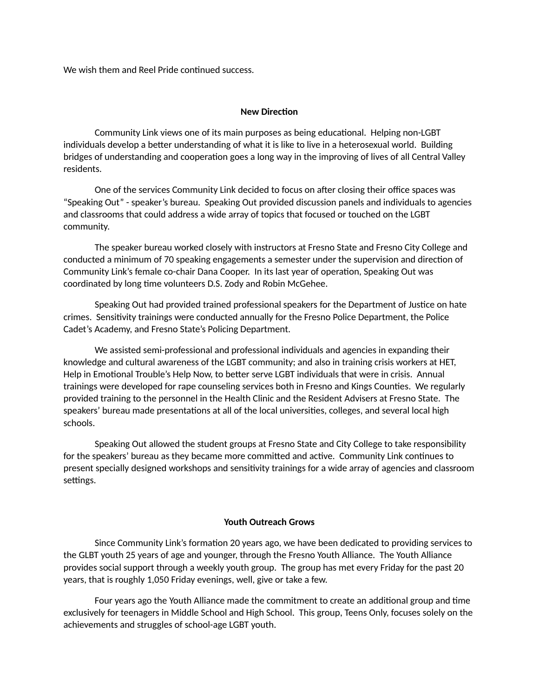We wish them and Reel Pride continued success.

## **New Direction**

Community Link views one of its main purposes as being educational. Helping non-LGBT individuals develop a better understanding of what it is like to live in a heterosexual world. Building bridges of understanding and cooperation goes a long way in the improving of lives of all Central Valley residents.

One of the services Community Link decided to focus on after closing their office spaces was "Speaking Out" - speaker's bureau. Speaking Out provided discussion panels and individuals to agencies and classrooms that could address a wide array of topics that focused or touched on the LGBT community.

The speaker bureau worked closely with instructors at Fresno State and Fresno City College and conducted a minimum of 70 speaking engagements a semester under the supervision and direction of Community Link's female co-chair Dana Cooper. In its last year of operation, Speaking Out was coordinated by long time volunteers D.S. Zody and Robin McGehee.

Speaking Out had provided trained professional speakers for the Department of Justice on hate crimes. Sensitivity trainings were conducted annually for the Fresno Police Department, the Police Cadet's Academy, and Fresno State's Policing Department.

We assisted semi-professional and professional individuals and agencies in expanding their knowledge and cultural awareness of the LGBT community; and also in training crisis workers at HET, Help in Emotional Trouble's Help Now, to better serve LGBT individuals that were in crisis. Annual trainings were developed for rape counseling services both in Fresno and Kings Counties. We regularly provided training to the personnel in the Health Clinic and the Resident Advisers at Fresno State. The speakers' bureau made presentations at all of the local universities, colleges, and several local high schools.

Speaking Out allowed the student groups at Fresno State and City College to take responsibility for the speakers' bureau as they became more committed and active. Community Link continues to present specially designed workshops and sensitivity trainings for a wide array of agencies and classroom settings.

# **Youth Outreach Grows**

Since Community Link's formation 20 years ago, we have been dedicated to providing services to the GLBT youth 25 years of age and younger, through the Fresno Youth Alliance. The Youth Alliance provides social support through a weekly youth group. The group has met every Friday for the past 20 years, that is roughly 1,050 Friday evenings, well, give or take a few.

Four years ago the Youth Alliance made the commitment to create an additional group and time exclusively for teenagers in Middle School and High School. This group, Teens Only, focuses solely on the achievements and struggles of school-age LGBT youth.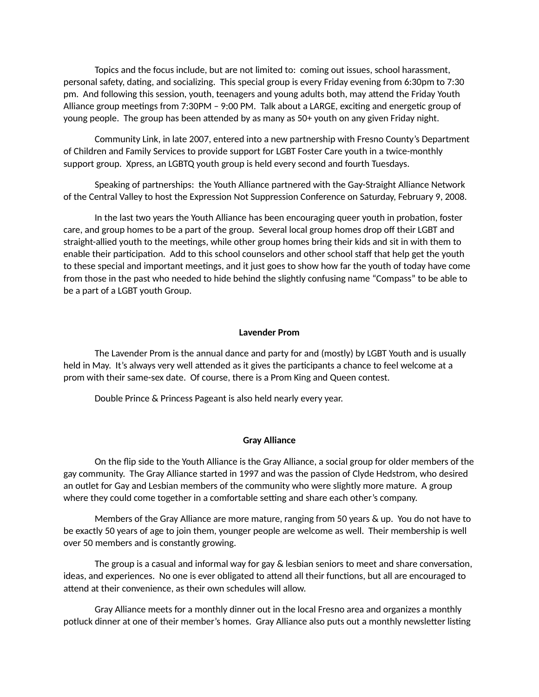Topics and the focus include, but are not limited to: coming out issues, school harassment, personal safety, dating, and socializing. This special group is every Friday evening from 6:30pm to 7:30 pm. And following this session, youth, teenagers and young adults both, may attend the Friday Youth Alliance group meetings from 7:30PM – 9:00 PM. Talk about a LARGE, exciting and energetic group of young people. The group has been attended by as many as 50+ youth on any given Friday night.

Community Link, in late 2007, entered into a new partnership with Fresno County's Department of Children and Family Services to provide support for LGBT Foster Care youth in a twice-monthly support group. Xpress, an LGBTQ youth group is held every second and fourth Tuesdays.

Speaking of partnerships: the Youth Alliance partnered with the Gay-Straight Alliance Network of the Central Valley to host the Expression Not Suppression Conference on Saturday, February 9, 2008.

In the last two years the Youth Alliance has been encouraging queer youth in probation, foster care, and group homes to be a part of the group. Several local group homes drop off their LGBT and straight-allied youth to the meetings, while other group homes bring their kids and sit in with them to enable their participation. Add to this school counselors and other school staff that help get the youth to these special and important meetings, and it just goes to show how far the youth of today have come from those in the past who needed to hide behind the slightly confusing name "Compass" to be able to be a part of a LGBT youth Group.

#### **Lavender Prom**

The Lavender Prom is the annual dance and party for and (mostly) by LGBT Youth and is usually held in May. It's always very well attended as it gives the participants a chance to feel welcome at a prom with their same-sex date. Of course, there is a Prom King and Queen contest.

Double Prince & Princess Pageant is also held nearly every year.

#### **Gray Alliance**

On the flip side to the Youth Alliance is the Gray Alliance, a social group for older members of the gay community. The Gray Alliance started in 1997 and was the passion of Clyde Hedstrom, who desired an outlet for Gay and Lesbian members of the community who were slightly more mature. A group where they could come together in a comfortable setting and share each other's company.

Members of the Gray Alliance are more mature, ranging from 50 years & up. You do not have to be exactly 50 years of age to join them, younger people are welcome as well. Their membership is well over 50 members and is constantly growing.

The group is a casual and informal way for gay & lesbian seniors to meet and share conversation, ideas, and experiences. No one is ever obligated to attend all their functions, but all are encouraged to attend at their convenience, as their own schedules will allow.

Gray Alliance meets for a monthly dinner out in the local Fresno area and organizes a monthly potluck dinner at one of their member's homes. Gray Alliance also puts out a monthly newsletter listing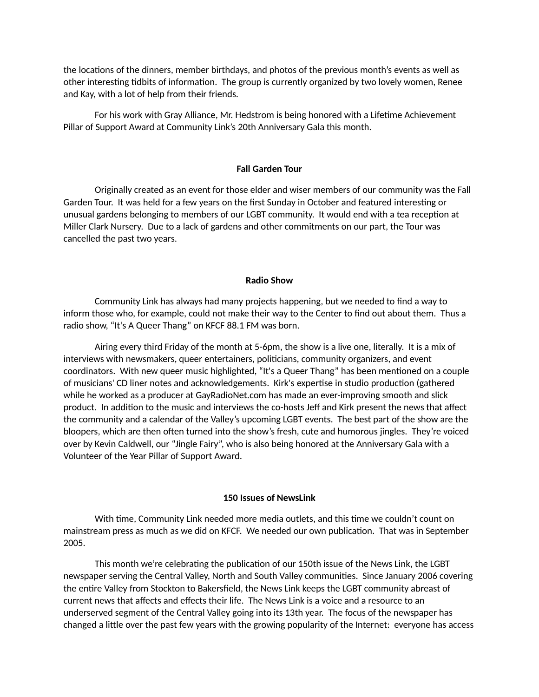the locations of the dinners, member birthdays, and photos of the previous month's events as well as other interesting tidbits of information. The group is currently organized by two lovely women, Renee and Kay, with a lot of help from their friends.

For his work with Gray Alliance, Mr. Hedstrom is being honored with a Lifetime Achievement Pillar of Support Award at Community Link's 20th Anniversary Gala this month.

## **Fall Garden Tour**

Originally created as an event for those elder and wiser members of our community was the Fall Garden Tour. It was held for a few years on the first Sunday in October and featured interesting or unusual gardens belonging to members of our LGBT community. It would end with a tea reception at Miller Clark Nursery. Due to a lack of gardens and other commitments on our part, the Tour was cancelled the past two years.

# **Radio Show**

Community Link has always had many projects happening, but we needed to find a way to inform those who, for example, could not make their way to the Center to find out about them. Thus a radio show, "It's A Queer Thang" on KFCF 88.1 FM was born.

Airing every third Friday of the month at 5-6pm, the show is a live one, literally. It is a mix of interviews with newsmakers, queer entertainers, politicians, community organizers, and event coordinators. With new queer music highlighted, "It's a Queer Thang" has been mentioned on a couple of musicians' CD liner notes and acknowledgements. Kirk's expertise in studio production (gathered while he worked as a producer at GayRadioNet.com has made an ever-improving smooth and slick product. In addition to the music and interviews the co-hosts Jeff and Kirk present the news that affect the community and a calendar of the Valley's upcoming LGBT events. The best part of the show are the bloopers, which are then often turned into the show's fresh, cute and humorous jingles. They're voiced over by Kevin Caldwell, our "Jingle Fairy", who is also being honored at the Anniversary Gala with a Volunteer of the Year Pillar of Support Award.

#### **150 Issues of NewsLink**

With time, Community Link needed more media outlets, and this time we couldn't count on mainstream press as much as we did on KFCF. We needed our own publication. That was in September 2005.

This month we're celebrating the publication of our 150th issue of the News Link, the LGBT newspaper serving the Central Valley, North and South Valley communities. Since January 2006 covering the entire Valley from Stockton to Bakersfield, the News Link keeps the LGBT community abreast of current news that affects and effects their life. The News Link is a voice and a resource to an underserved segment of the Central Valley going into its 13th year. The focus of the newspaper has changed a little over the past few years with the growing popularity of the Internet: everyone has access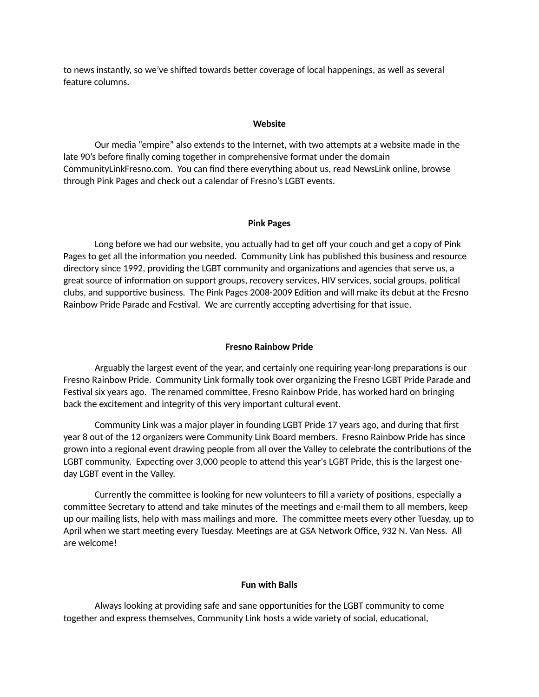to news instantly, so we've shifted towards better coverage of local happenings, as well as several feature columns.

#### **Website**

Our media "empire" also extends to the Internet, with two attempts at a website made in the late 90's before finally coming together in comprehensive format under the domain CommunityLinkFresno.com. You can find there everything about us, read NewsLink online, browse through Pink Pages and check out a calendar of Fresno's LGBT events.

#### **Pink Pages**

Long before we had our website, you actually had to get off your couch and get a copy of Pink Pages to get all the information you needed. Community Link has published this business and resource directory since 1992, providing the LGBT community and organizations and agencies that serve us, a great source of information on support groups, recovery services, HIV services, social groups, political clubs, and supportive business. The Pink Pages 2008-2009 Edition and will make its debut at the Fresno Rainbow Pride Parade and Festival. We are currently accepting advertising for that issue.

#### **Fresno Rainbow Pride**

Arguably the largest event of the year, and certainly one requiring year-long preparations is our Fresno Rainbow Pride. Community Link formally took over organizing the Fresno LGBT Pride Parade and Festival six years ago. The renamed committee, Fresno Rainbow Pride, has worked hard on bringing back the excitement and integrity of this very important cultural event.

Community Link was a major player in founding LGBT Pride 17 years ago, and during that first year 8 out of the 12 organizers were Community Link Board members. Fresno Rainbow Pride has since grown into a regional event drawing people from all over the Valley to celebrate the contributions of the LGBT community. Expecting over 3,000 people to attend this year's LGBT Pride, this is the largest oneday LGBT event in the Valley.

Currently the committee is looking for new volunteers to fill a variety of positions, especially a committee Secretary to attend and take minutes of the meetings and e-mail them to all members, keep up our mailing lists, help with mass mailings and more. The committee meets every other Tuesday, up to April when we start meeting every Tuesday. Meetings are at GSA Network Office, 932 N. Van Ness. All are welcome!

## **Fun with Balls**

Always looking at providing safe and sane opportunities for the LGBT community to come together and express themselves, Community Link hosts a wide variety of social, educational,